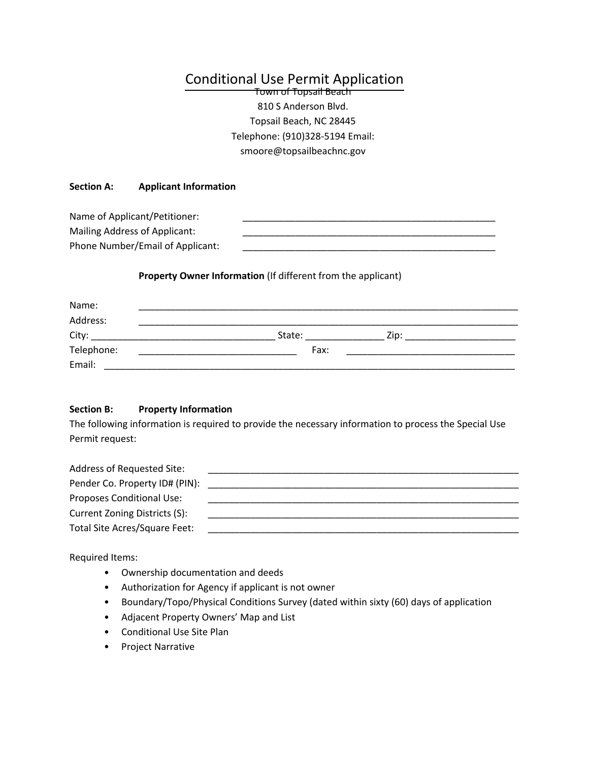# Conditional Use Permit Application Town of Topsail Beach

810 S Anderson Blvd. Topsail Beach, NC 28445 Telephone: (910)328-5194 Email: smoore@topsailbeachnc.gov

### **Section A: Applicant Information**

| Mailing Address of Applicant:    | Name of Applicant/Petitioner: |  |
|----------------------------------|-------------------------------|--|
|                                  |                               |  |
| Phone Number/Email of Applicant: |                               |  |

## **Property Owner Information** (If different from the applicant)

| Name:      |        |      |  |
|------------|--------|------|--|
| Address:   |        |      |  |
| City:      | State: | Zip: |  |
| Telephone: | Fax:   |      |  |
| Email:     |        |      |  |

### **Section B: Property Information**

The following information is required to provide the necessary information to process the Special Use Permit request:

| Address of Requested Site:           |  |
|--------------------------------------|--|
| Pender Co. Property ID# (PIN):       |  |
| Proposes Conditional Use:            |  |
| <b>Current Zoning Districts (S):</b> |  |
| Total Site Acres/Square Feet:        |  |

Required Items:

- Ownership documentation and deeds
- Authorization for Agency if applicant is not owner
- Boundary/Topo/Physical Conditions Survey (dated within sixty (60) days of application
- Adjacent Property Owners' Map and List
- Conditional Use Site Plan
- Project Narrative